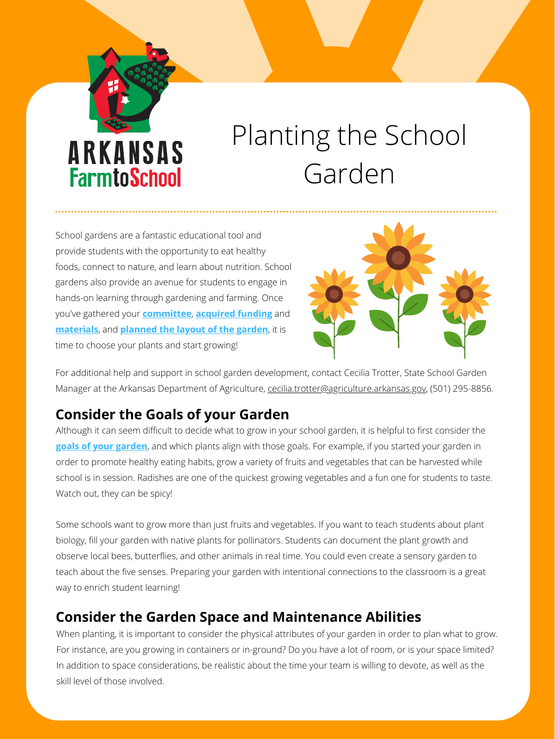

# Planting the School Garden

Although it can seem difficult to decide what to grow in your school garden, it is helpful to first consider the **[goals of your garden](https://arfarmtoschool.org/getting-started/getting-started-and-action-planning/)**, and which plants align with those goals. For example, if you started your garden in order to promote healthy eating habits, grow a variety of fruits and vegetables that can be harvested while school is in session. Radishes are one of the quickest growing vegetables and a fun one for students to taste. Watch out, they can be spicy!

Some schools want to grow more than just fruits and vegetables. If you want to teach students about plant biology, fill your garden with native plants for pollinators. Students can document the plant growth and observe local bees, butterflies, and other animals in real time. You could even create a sensory garden to teach about the five senses. Preparing your garden with intentional connections to the classroom is a great way to enrich student learning!

School gardens are a fantastic educational tool and provide students with the opportunity to eat healthy foods, connect to nature, and learn about nutrition. School gardens also provide an avenue for students to engage in hands-on learning through gardening and farming. Once you've gathered your **[committee](https://arfarmtoschool.org/getting-started/getting-started-and-action-planning/)**, **[acquired funding](https://arfarmtoschool.org/getting-started/grants-and-funding/)** and **[materials](https://arfarmtoschool.org/school-gardens/build-and-plant/)**, and **[planned the layout of the garden](https://arfarmtoschool.org/school-gardens/build-and-plant/)**, it is time to choose your plants and start growing!



For additional help and support in school garden development, contact Cecilia Trotter, State School Garden

Manager at the Arkansas Department of Agriculture, [cecilia.trotter@agriculture.arkansas.gov](mailto:cecilia.trotter@agriculture.arkansas.gov)[,](mailto:hanna.davis@agriculture.arkansas.gov) (501) 295-8856.

## **Consider the Goals of your Garden**

## **Consider the Garden Space and Maintenance Abilities**

When planting, it is important to consider the physical attributes of your garden in order to plan what to grow. For instance, are you growing in containers or in-ground? Do you have a lot of room, or is your space limited? In addition to space considerations, be realistic about the time your team is willing to devote, as well as the skill level of those involved.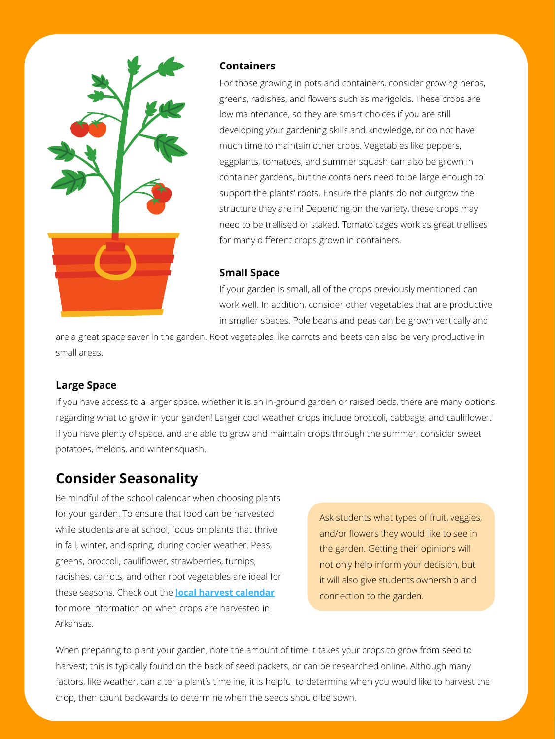

#### **Containers**

For those growing in pots and containers, consider growing herbs, greens, radishes, and flowers such as marigolds. These crops are low maintenance, so they are smart choices if you are still developing your gardening skills and knowledge, or do not have much time to maintain other crops. Vegetables like peppers, eggplants, tomatoes, and summer squash can also be grown in container gardens, but the containers need to be large enough to support the plants' roots. Ensure the plants do not outgrow the structure they are in! Depending on the variety, these crops may need to be trellised or staked. Tomato cages work as great trellises for many different crops grown in containers.

### **Small Space**

If your garden is small, all of the crops previously mentioned can work well. In addition, consider other vegetables that are productive in smaller spaces. Pole beans and peas can be grown vertically and

are a great space saver in the garden. Root vegetables like carrots and beets can also be very productive in small areas.

#### **Large Space**

If you have access to a larger space, whether it is an in-ground garden or raised beds, there are many options regarding what to grow in your garden! Larger cool weather crops include broccoli, cabbage, and cauliflower. If you have plenty of space, and are able to grow and maintain crops through the summer, consider sweet potatoes, melons, and winter squash.

## **Consider Seasonality**

Be mindful of the school calendar when choosing plants for your garden. To ensure that food can be harvested while students are at school, focus on plants that thrive in fall, winter, and spring; during cooler weather. Peas, greens, broccoli, cauliflower, strawberries, turnips, radishes, carrots, and other root vegetables are ideal for these seasons. Check out the **[local harvest calendar](https://arfarmtoschool.org/wp-content/uploads/2021/08/Local-Harvest-Calendar-8.12.2021.pdf)** for more information on when crops are harvested in Arkansas.

Ask students what types of fruit, veggies, and/or flowers they would like to see in the garden. Getting their opinions will not only help inform your decision, but it will also give students ownership and connection to the garden.

When preparing to plant your garden, note the amount of time it takes your crops to grow from seed to harvest; this is typically found on the back of seed packets, or can be researched online. Although many factors, like weather, can alter a plant's timeline, it is helpful to determine when you would like to harvest the crop, then count backwards to determine when the seeds should be sown.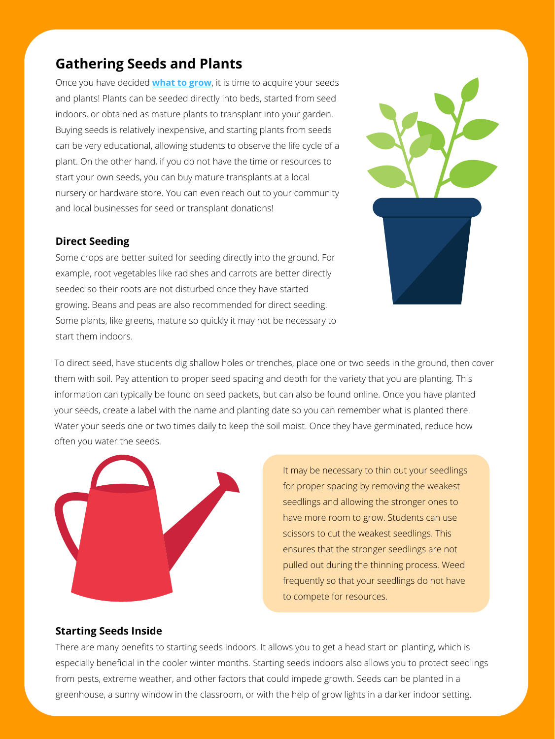Once you have decided **[what to grow](https://arfarmtoschool.org/wp-content/uploads/2021/07/School-Garden-Planting-Calendar.pdf)**, it is time to acquire your seeds and plants! Plants can be seeded directly into beds, started from seed indoors, or obtained as mature plants to transplant into your garden. Buying seeds is relatively inexpensive, and starting plants from seeds can be very educational, allowing students to observe the life cycle of a plant. On the other hand, if you do not have the time or resources to start your own seeds, you can buy mature transplants at a local nursery or hardware store. You can even reach out to your community and local businesses for seed or transplant donations!

#### **Direct Seeding**

Some crops are better suited for seeding directly into the ground. For example, root vegetables like radishes and carrots are better directly seeded so their roots are not disturbed once they have started growing. Beans and peas are also recommended for direct seeding. Some plants, like greens, mature so quickly it may not be necessary to start them indoors.



To direct seed, have students dig shallow holes or trenches, place one or two seeds in the ground, then cover them with soil. Pay attention to proper seed spacing and depth for the variety that you are planting. This

information can typically be found on seed packets, but can also be found online. Once you have planted your seeds, create a label with the name and planting date so you can remember what is planted there. Water your seeds one or two times daily to keep the soil moist. Once they have germinated, reduce how often you water the seeds.



#### **Starting Seeds Inside**

There are many benefits to starting seeds indoors. It allows you to get a head start on planting, which is especially beneficial in the cooler winter months. Starting seeds indoors also allows you to protect seedlings from pests, extreme weather, and other factors that could impede growth. Seeds can be planted in a greenhouse, a sunny window in the classroom, or with the help of grow lights in a darker indoor setting.

It may be necessary to thin out your seedlings for proper spacing by removing the weakest seedlings and allowing the stronger ones to have more room to grow. Students can use scissors to cut the weakest seedlings. This ensures that the stronger seedlings are not pulled out during the thinning process. Weed frequently so that your seedlings do not have to compete for resources.

## **Gathering Seeds and Plants**